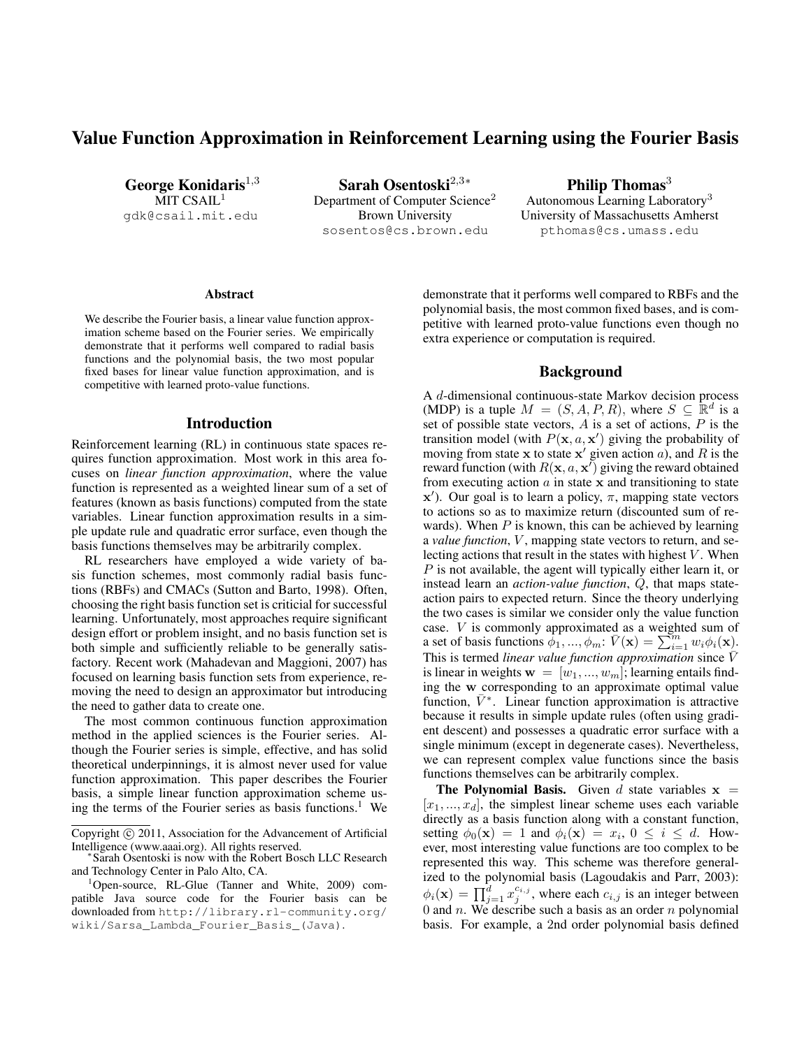# Value Function Approximation in Reinforcement Learning using the Fourier Basis

George Konidaris $1,3$ MIT  $CSAIL<sup>1</sup>$ gdk@csail.mit.edu

Sarah Osentoski<sup>2,3</sup>\* Department of Computer Science<sup>2</sup> Brown University sosentos@cs.brown.edu

Philip Thomas $3$ Autonomous Learning Laboratory<sup>3</sup> University of Massachusetts Amherst pthomas@cs.umass.edu

#### Abstract

We describe the Fourier basis, a linear value function approximation scheme based on the Fourier series. We empirically demonstrate that it performs well compared to radial basis functions and the polynomial basis, the two most popular fixed bases for linear value function approximation, and is competitive with learned proto-value functions.

### Introduction

Reinforcement learning (RL) in continuous state spaces requires function approximation. Most work in this area focuses on *linear function approximation*, where the value function is represented as a weighted linear sum of a set of features (known as basis functions) computed from the state variables. Linear function approximation results in a simple update rule and quadratic error surface, even though the basis functions themselves may be arbitrarily complex.

RL researchers have employed a wide variety of basis function schemes, most commonly radial basis functions (RBFs) and CMACs (Sutton and Barto, 1998). Often, choosing the right basis function set is criticial for successful learning. Unfortunately, most approaches require significant design effort or problem insight, and no basis function set is both simple and sufficiently reliable to be generally satisfactory. Recent work (Mahadevan and Maggioni, 2007) has focused on learning basis function sets from experience, removing the need to design an approximator but introducing the need to gather data to create one.

The most common continuous function approximation method in the applied sciences is the Fourier series. Although the Fourier series is simple, effective, and has solid theoretical underpinnings, it is almost never used for value function approximation. This paper describes the Fourier basis, a simple linear function approximation scheme using the terms of the Fourier series as basis functions.<sup>1</sup> We

demonstrate that it performs well compared to RBFs and the polynomial basis, the most common fixed bases, and is competitive with learned proto-value functions even though no extra experience or computation is required.

## Background

A d-dimensional continuous-state Markov decision process (MDP) is a tuple  $M = (S, A, P, R)$ , where  $S \subseteq \mathbb{R}^d$  is a set of possible state vectors,  $A$  is a set of actions,  $P$  is the transition model (with  $P(\mathbf{x}, a, \mathbf{x}')$  giving the probability of moving from state x to state  $x'$  given action a), and R is the reward function (with  $R(\mathbf{x}, a, \mathbf{x}')$  giving the reward obtained from executing action  $a$  in state  $x$  and transitioning to state  $x'$ ). Our goal is to learn a policy,  $\pi$ , mapping state vectors to actions so as to maximize return (discounted sum of rewards). When  $P$  is known, this can be achieved by learning a *value function*, V, mapping state vectors to return, and selecting actions that result in the states with highest  $V$ . When P is not available, the agent will typically either learn it, or instead learn an *action-value function*, Q, that maps stateaction pairs to expected return. Since the theory underlying the two cases is similar we consider only the value function case. V is commonly approximated as a weighted sum of a set of basis functions  $\phi_1, ..., \phi_m$ :  $\bar{V}(\mathbf{x}) = \sum_{i=1}^m w_i \phi_i(\mathbf{x})$ . This is termed *linear value function approximation* since  $\overline{V}$ is linear in weights  $\mathbf{w} = [w_1, ..., w_m]$ ; learning entails finding the w corresponding to an approximate optimal value function,  $\bar{V}^*$ . Linear function approximation is attractive because it results in simple update rules (often using gradient descent) and possesses a quadratic error surface with a single minimum (except in degenerate cases). Nevertheless, we can represent complex value functions since the basis functions themselves can be arbitrarily complex.

**The Polynomial Basis.** Given d state variables  $x =$  $[x_1, ..., x_d]$ , the simplest linear scheme uses each variable directly as a basis function along with a constant function, setting  $\phi_0(\mathbf{x}) = 1$  and  $\phi_i(\mathbf{x}) = x_i$ ,  $0 \le i \le d$ . However, most interesting value functions are too complex to be represented this way. This scheme was therefore generalized to the polynomial basis (Lagoudakis and Parr, 2003):  $\phi_i(\mathbf{x}) = \prod_{j=1}^d x_j^{c_{i,j}}$ , where each  $c_{i,j}$  is an integer between 0 and  $n$ . We describe such a basis as an order  $n$  polynomial basis. For example, a 2nd order polynomial basis defined

Copyright © 2011, Association for the Advancement of Artificial Intelligence (www.aaai.org). All rights reserved. ∗

Sarah Osentoski is now with the Robert Bosch LLC Research and Technology Center in Palo Alto, CA.

<sup>&</sup>lt;sup>1</sup>Open-source, RL-Glue (Tanner and White, 2009) compatible Java source code for the Fourier basis can be downloaded from http://library.rl-community.org/ wiki/Sarsa\_Lambda\_Fourier\_Basis\_(Java).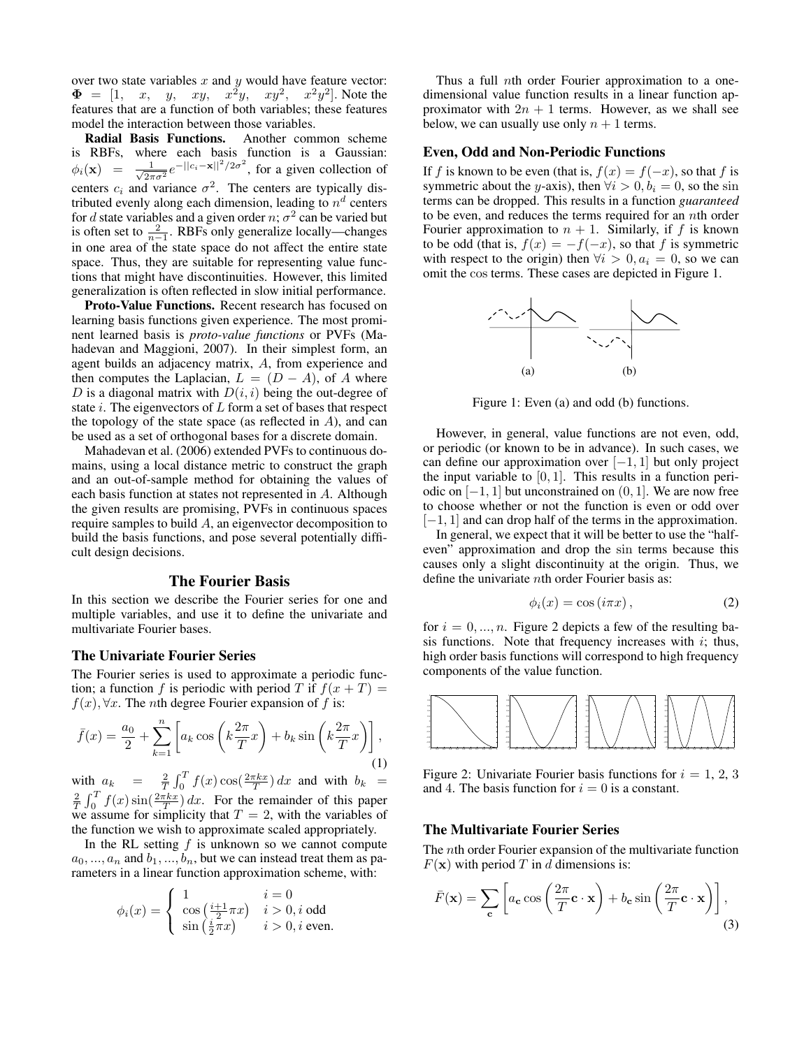over two state variables  $x$  and  $y$  would have feature vector:  $\Phi = \begin{bmatrix} 1, & x, & y, & xy, & x^2y, & xy^2, & x^2y^2 \end{bmatrix}$ . Note the features that are a function of both variables; these features model the interaction between those variables.

Radial Basis Functions. Another common scheme is RBFs, where each basis function is a Gaussian:  $\phi_i(\mathbf{x}) = \frac{1}{\sqrt{2\pi}}$  $\frac{1}{2\pi\sigma^2}e^{-||c_i - \mathbf{x}||^2/2\sigma^2}$ , for a given collection of centers  $c_i$  and variance  $\sigma^2$ . The centers are typically distributed evenly along each dimension, leading to  $n^d$  centers for d state variables and a given order  $n$ ;  $\sigma^2$  can be varied but is often set to  $\frac{2}{n-1}$ . RBFs only generalize locally—changes in one area of the state space do not affect the entire state space. Thus, they are suitable for representing value functions that might have discontinuities. However, this limited generalization is often reflected in slow initial performance.

Proto-Value Functions. Recent research has focused on learning basis functions given experience. The most prominent learned basis is *proto-value functions* or PVFs (Mahadevan and Maggioni, 2007). In their simplest form, an agent builds an adjacency matrix, A, from experience and then computes the Laplacian,  $L = (D - A)$ , of A where D is a diagonal matrix with  $D(i, i)$  being the out-degree of state  $i$ . The eigenvectors of  $L$  form a set of bases that respect the topology of the state space (as reflected in  $A$ ), and can be used as a set of orthogonal bases for a discrete domain.

Mahadevan et al. (2006) extended PVFs to continuous domains, using a local distance metric to construct the graph and an out-of-sample method for obtaining the values of each basis function at states not represented in A. Although the given results are promising, PVFs in continuous spaces require samples to build A, an eigenvector decomposition to build the basis functions, and pose several potentially difficult design decisions.

## The Fourier Basis

In this section we describe the Fourier series for one and multiple variables, and use it to define the univariate and multivariate Fourier bases.

#### The Univariate Fourier Series

The Fourier series is used to approximate a periodic function; a function f is periodic with period T if  $f(x+T) =$  $f(x)$ ,  $\forall x$ . The *n*th degree Fourier expansion of f is:

$$
\bar{f}(x) = \frac{a_0}{2} + \sum_{k=1}^{n} \left[ a_k \cos\left(k \frac{2\pi}{T} x\right) + b_k \sin\left(k \frac{2\pi}{T} x\right) \right],\tag{1}
$$

with  $a_k = \frac{2}{T} \int_0^T f(x) \cos(\frac{2\pi kx}{T}) dx$  and with  $b_k =$  $\frac{2}{T} \int_0^T f(x) \sin(\frac{2\pi kx}{T}) dx$ . For the remainder of this paper we assume for simplicity that  $T = 2$ , with the variables of the function we wish to approximate scaled appropriately.

In the RL setting  $f$  is unknown so we cannot compute  $a_0, ..., a_n$  and  $b_1, ..., b_n$ , but we can instead treat them as parameters in a linear function approximation scheme, with:

$$
\phi_i(x) = \begin{cases} 1 & i = 0 \\ \cos\left(\frac{i+1}{2}\pi x\right) & i > 0, i \text{ odd} \\ \sin\left(\frac{i}{2}\pi x\right) & i > 0, i \text{ even.} \end{cases}
$$

Thus a full nth order Fourier approximation to a onedimensional value function results in a linear function approximator with  $2n + 1$  terms. However, as we shall see below, we can usually use only  $n + 1$  terms.

### Even, Odd and Non-Periodic Functions

If f is known to be even (that is,  $f(x) = f(-x)$ , so that f is symmetric about the y-axis), then  $\forall i > 0, b_i = 0$ , so the sin terms can be dropped. This results in a function *guaranteed* to be even, and reduces the terms required for an nth order Fourier approximation to  $n + 1$ . Similarly, if f is known to be odd (that is,  $f(x) = -f(-x)$ , so that f is symmetric with respect to the origin) then  $\forall i > 0, a_i = 0$ , so we can omit the cos terms. These cases are depicted in Figure 1.



Figure 1: Even (a) and odd (b) functions.

However, in general, value functions are not even, odd, or periodic (or known to be in advance). In such cases, we can define our approximation over  $[-1, 1]$  but only project the input variable to  $[0, 1]$ . This results in a function periodic on  $[-1, 1]$  but unconstrained on  $(0, 1]$ . We are now free to choose whether or not the function is even or odd over [−1, 1] and can drop half of the terms in the approximation.

In general, we expect that it will be better to use the "halfeven" approximation and drop the sin terms because this causes only a slight discontinuity at the origin. Thus, we define the univariate nth order Fourier basis as:

$$
\phi_i(x) = \cos(i\pi x),\tag{2}
$$

for  $i = 0, ..., n$ . Figure 2 depicts a few of the resulting basis functions. Note that frequency increases with  $i$ ; thus, high order basis functions will correspond to high frequency components of the value function.



Figure 2: Univariate Fourier basis functions for  $i = 1, 2, 3$ and 4. The basis function for  $i = 0$  is a constant.

#### The Multivariate Fourier Series

The nth order Fourier expansion of the multivariate function  $F(\mathbf{x})$  with period T in d dimensions is:

$$
\bar{F}(\mathbf{x}) = \sum_{\mathbf{c}} \left[ a_{\mathbf{c}} \cos \left( \frac{2\pi}{T} \mathbf{c} \cdot \mathbf{x} \right) + b_{\mathbf{c}} \sin \left( \frac{2\pi}{T} \mathbf{c} \cdot \mathbf{x} \right) \right],
$$
\n(3)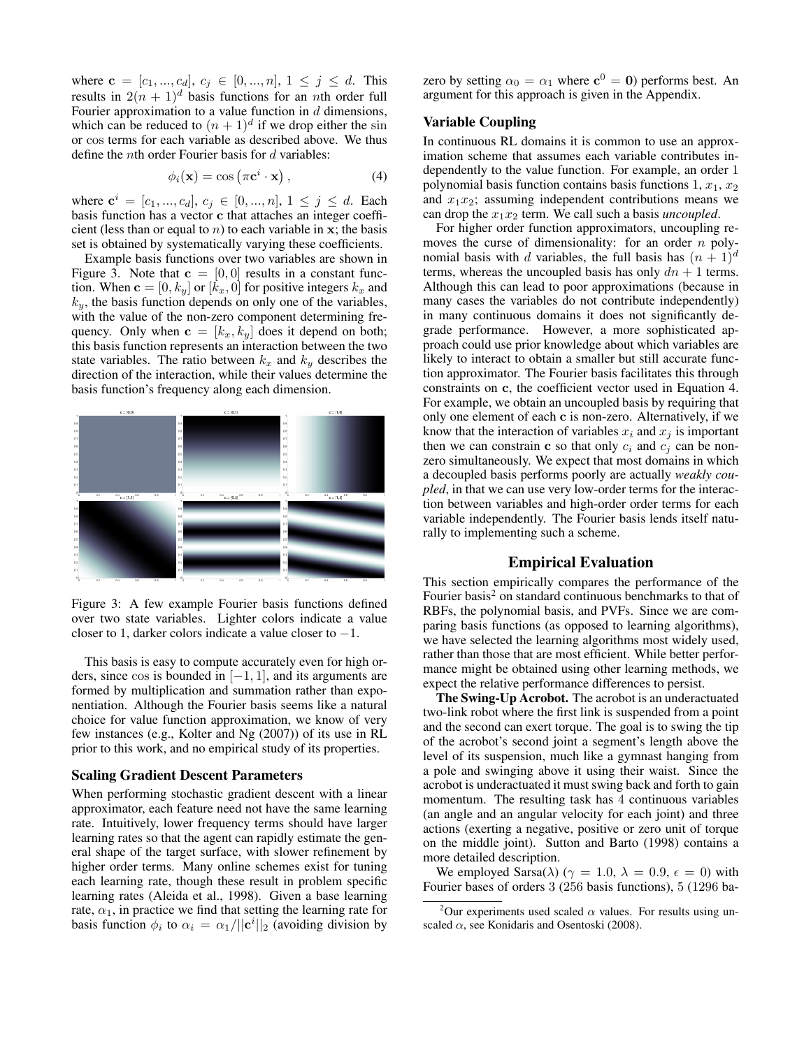where  $\mathbf{c} = [c_1, ..., c_d], c_j \in [0, ..., n], 1 \leq j \leq d$ . This results in  $2(n + 1)^d$  basis functions for an *n*th order full Fourier approximation to a value function in  $d$  dimensions, which can be reduced to  $(n + 1)^d$  if we drop either the sin or cos terms for each variable as described above. We thus define the *nth* order Fourier basis for  $d$  variables:

$$
\phi_i(\mathbf{x}) = \cos\left(\pi \mathbf{c}^i \cdot \mathbf{x}\right),\tag{4}
$$

where  $\mathbf{c}^i = [c_1, ..., c_d], c_j \in [0, ..., n], 1 \le j \le d$ . Each basis function has a vector c that attaches an integer coefficient (less than or equal to  $n$ ) to each variable in x; the basis set is obtained by systematically varying these coefficients.

Example basis functions over two variables are shown in Figure 3. Note that  $c = [0, 0]$  results in a constant function. When  $\mathbf{c} = [0, k_y]$  or  $[k_x, 0]$  for positive integers  $k_x$  and  $k_y$ , the basis function depends on only one of the variables, with the value of the non-zero component determining frequency. Only when  $\mathbf{c} = [k_x, k_y]$  does it depend on both; this basis function represents an interaction between the two state variables. The ratio between  $k_x$  and  $k_y$  describes the direction of the interaction, while their values determine the basis function's frequency along each dimension.



Figure 3: A few example Fourier basis functions defined over two state variables. Lighter colors indicate a value closer to 1, darker colors indicate a value closer to  $-1$ .

This basis is easy to compute accurately even for high orders, since cos is bounded in  $[-1, 1]$ , and its arguments are formed by multiplication and summation rather than exponentiation. Although the Fourier basis seems like a natural choice for value function approximation, we know of very few instances (e.g., Kolter and Ng (2007)) of its use in RL prior to this work, and no empirical study of its properties.

### Scaling Gradient Descent Parameters

When performing stochastic gradient descent with a linear approximator, each feature need not have the same learning rate. Intuitively, lower frequency terms should have larger learning rates so that the agent can rapidly estimate the general shape of the target surface, with slower refinement by higher order terms. Many online schemes exist for tuning each learning rate, though these result in problem specific learning rates (Aleida et al., 1998). Given a base learning rate,  $\alpha_1$ , in practice we find that setting the learning rate for basis function  $\phi_i$  to  $\alpha_i = \alpha_1 / ||\mathbf{c}^i||_2$  (avoiding division by

zero by setting  $\alpha_0 = \alpha_1$  where  $\mathbf{c}^0 = \mathbf{0}$ ) performs best. An argument for this approach is given in the Appendix.

# Variable Coupling

In continuous RL domains it is common to use an approximation scheme that assumes each variable contributes independently to the value function. For example, an order 1 polynomial basis function contains basis functions  $1, x_1, x_2$ and  $x_1x_2$ ; assuming independent contributions means we can drop the  $x_1x_2$  term. We call such a basis *uncoupled*.

For higher order function approximators, uncoupling removes the curse of dimensionality: for an order  $n$  polynomial basis with d variables, the full basis has  $(n + 1)^d$ terms, whereas the uncoupled basis has only  $dn + 1$  terms. Although this can lead to poor approximations (because in many cases the variables do not contribute independently) in many continuous domains it does not significantly degrade performance. However, a more sophisticated approach could use prior knowledge about which variables are likely to interact to obtain a smaller but still accurate function approximator. The Fourier basis facilitates this through constraints on c, the coefficient vector used in Equation 4. For example, we obtain an uncoupled basis by requiring that only one element of each c is non-zero. Alternatively, if we know that the interaction of variables  $x_i$  and  $x_j$  is important then we can constrain c so that only  $c_i$  and  $c_j$  can be nonzero simultaneously. We expect that most domains in which a decoupled basis performs poorly are actually *weakly coupled*, in that we can use very low-order terms for the interaction between variables and high-order order terms for each variable independently. The Fourier basis lends itself naturally to implementing such a scheme.

# Empirical Evaluation

This section empirically compares the performance of the Fourier basis<sup>2</sup> on standard continuous benchmarks to that of RBFs, the polynomial basis, and PVFs. Since we are comparing basis functions (as opposed to learning algorithms), we have selected the learning algorithms most widely used, rather than those that are most efficient. While better performance might be obtained using other learning methods, we expect the relative performance differences to persist.

The Swing-Up Acrobot. The acrobot is an underactuated two-link robot where the first link is suspended from a point and the second can exert torque. The goal is to swing the tip of the acrobot's second joint a segment's length above the level of its suspension, much like a gymnast hanging from a pole and swinging above it using their waist. Since the acrobot is underactuated it must swing back and forth to gain momentum. The resulting task has 4 continuous variables (an angle and an angular velocity for each joint) and three actions (exerting a negative, positive or zero unit of torque on the middle joint). Sutton and Barto (1998) contains a more detailed description.

We employed Sarsa( $\lambda$ ) ( $\gamma = 1.0$ ,  $\lambda = 0.9$ ,  $\epsilon = 0$ ) with Fourier bases of orders 3 (256 basis functions), 5 (1296 ba-

<sup>&</sup>lt;sup>2</sup>Our experiments used scaled  $\alpha$  values. For results using unscaled  $\alpha$ , see Konidaris and Osentoski (2008).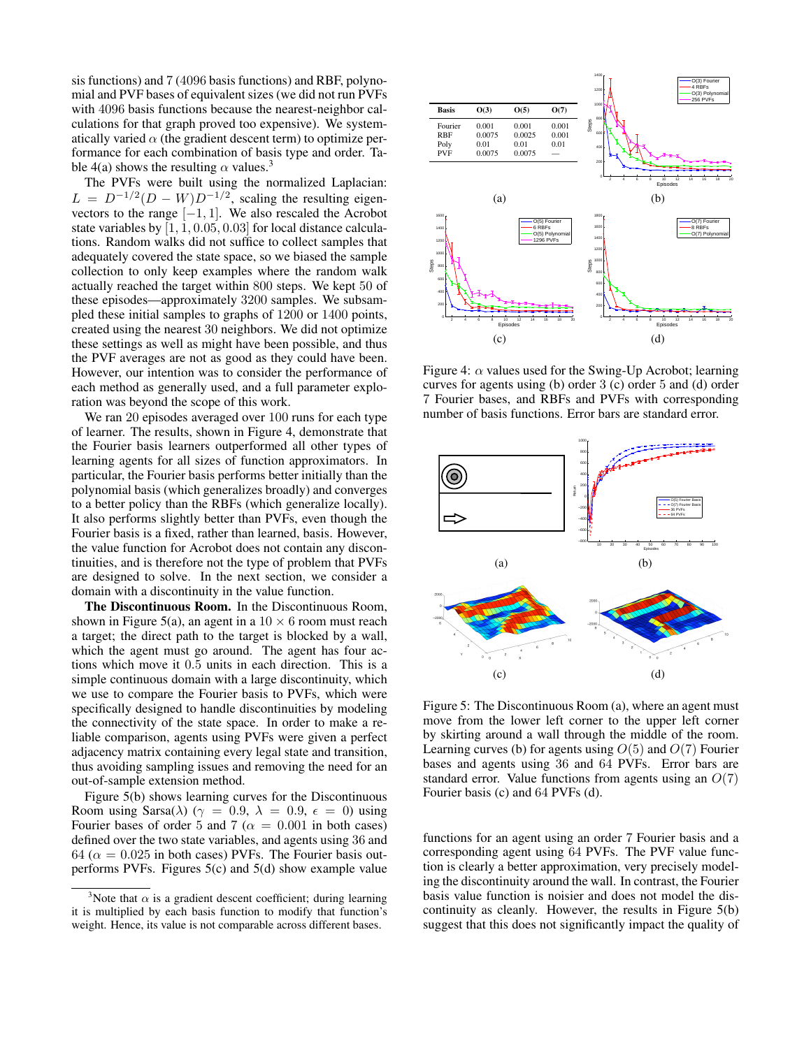sis functions) and 7 (4096 basis functions) and RBF, polynomial and PVF bases of equivalent sizes (we did not run PVFs with 4096 basis functions because the nearest-neighbor calculations for that graph proved too expensive). We systematically varied  $\alpha$  (the gradient descent term) to optimize performance for each combination of basis type and order. Table 4(a) shows the resulting  $\alpha$  values.<sup>3</sup>

The PVFs were built using the normalized Laplacian:  $L = D^{-1/2}(D - W)D^{-1/2}$ , scaling the resulting eigenvectors to the range  $[-1, 1]$ . We also rescaled the Acrobot state variables by [1, 1, 0.05, 0.03] for local distance calculations. Random walks did not suffice to collect samples that adequately covered the state space, so we biased the sample collection to only keep examples where the random walk actually reached the target within 800 steps. We kept 50 of these episodes—approximately 3200 samples. We subsampled these initial samples to graphs of 1200 or 1400 points, created using the nearest 30 neighbors. We did not optimize these settings as well as might have been possible, and thus the PVF averages are not as good as they could have been. However, our intention was to consider the performance of each method as generally used, and a full parameter exploration was beyond the scope of this work.

We ran 20 episodes averaged over 100 runs for each type of learner. The results, shown in Figure 4, demonstrate that the Fourier basis learners outperformed all other types of learning agents for all sizes of function approximators. In particular, the Fourier basis performs better initially than the polynomial basis (which generalizes broadly) and converges to a better policy than the RBFs (which generalize locally). It also performs slightly better than PVFs, even though the Fourier basis is a fixed, rather than learned, basis. However, the value function for Acrobot does not contain any discontinuities, and is therefore not the type of problem that PVFs are designed to solve. In the next section, we consider a domain with a discontinuity in the value function.

The Discontinuous Room. In the Discontinuous Room, shown in Figure 5(a), an agent in a  $10 \times 6$  room must reach a target; the direct path to the target is blocked by a wall, which the agent must go around. The agent has four actions which move it 0.5 units in each direction. This is a simple continuous domain with a large discontinuity, which we use to compare the Fourier basis to PVFs, which were specifically designed to handle discontinuities by modeling the connectivity of the state space. In order to make a reliable comparison, agents using PVFs were given a perfect adjacency matrix containing every legal state and transition, thus avoiding sampling issues and removing the need for an out-of-sample extension method.

Figure 5(b) shows learning curves for the Discontinuous Room using Sarsa( $\lambda$ ) ( $\gamma = 0.9$ ,  $\lambda = 0.9$ ,  $\epsilon = 0$ ) using Fourier bases of order 5 and 7 ( $\alpha = 0.001$  in both cases) defined over the two state variables, and agents using 36 and 64 ( $\alpha = 0.025$  in both cases) PVFs. The Fourier basis outperforms PVFs. Figures  $5(c)$  and  $5(d)$  show example value



Figure 4:  $\alpha$  values used for the Swing-Up Acrobot; learning curves for agents using (b) order 3 (c) order 5 and (d) order 7 Fourier bases, and RBFs and PVFs with corresponding number of basis functions. Error bars are standard error.



Figure 5: The Discontinuous Room (a), where an agent must move from the lower left corner to the upper left corner by skirting around a wall through the middle of the room. Learning curves (b) for agents using  $O(5)$  and  $O(7)$  Fourier bases and agents using 36 and 64 PVFs. Error bars are standard error. Value functions from agents using an  $O(7)$ Fourier basis (c) and 64 PVFs (d).

functions for an agent using an order 7 Fourier basis and a corresponding agent using 64 PVFs. The PVF value function is clearly a better approximation, very precisely modeling the discontinuity around the wall. In contrast, the Fourier basis value function is noisier and does not model the discontinuity as cleanly. However, the results in Figure 5(b) suggest that this does not significantly impact the quality of

<sup>&</sup>lt;sup>3</sup>Note that  $\alpha$  is a gradient descent coefficient; during learning it is multiplied by each basis function to modify that function's weight. Hence, its value is not comparable across different bases.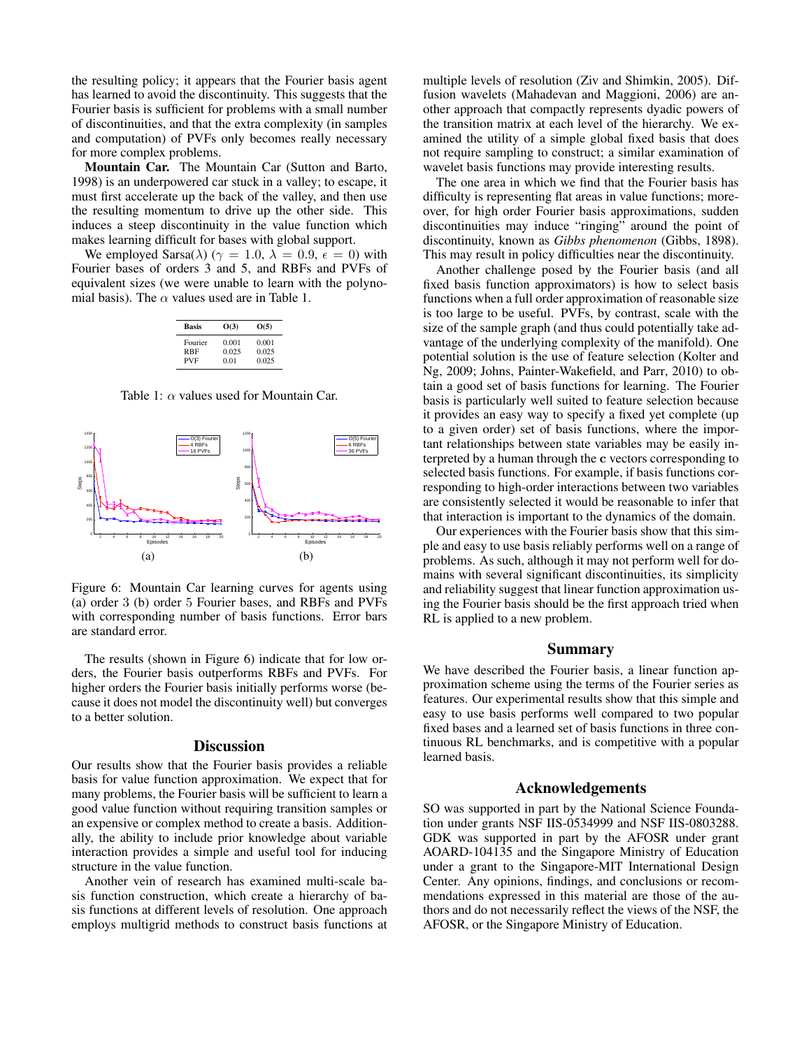the resulting policy; it appears that the Fourier basis agent has learned to avoid the discontinuity. This suggests that the Fourier basis is sufficient for problems with a small number of discontinuities, and that the extra complexity (in samples and computation) of PVFs only becomes really necessary for more complex problems.

Mountain Car. The Mountain Car (Sutton and Barto, 1998) is an underpowered car stuck in a valley; to escape, it must first accelerate up the back of the valley, and then use the resulting momentum to drive up the other side. This induces a steep discontinuity in the value function which makes learning difficult for bases with global support.

We employed Sarsa( $\lambda$ ) ( $\gamma = 1.0$ ,  $\lambda = 0.9$ ,  $\epsilon = 0$ ) with Fourier bases of orders 3 and 5, and RBFs and PVFs of equivalent sizes (we were unable to learn with the polynomial basis). The  $\alpha$  values used are in Table 1.

| Basis      | O(3)  | O(5)  |
|------------|-------|-------|
| Fourier    | 0.001 | 0.001 |
| RBF        | 0.025 | 0.025 |
| <b>PVF</b> | 0.01  | 0.025 |

Table 1:  $\alpha$  values used for Mountain Car.



Figure 6: Mountain Car learning curves for agents using (a) order 3 (b) order 5 Fourier bases, and RBFs and PVFs with corresponding number of basis functions. Error bars are standard error.

The results (shown in Figure 6) indicate that for low orders, the Fourier basis outperforms RBFs and PVFs. For higher orders the Fourier basis initially performs worse (because it does not model the discontinuity well) but converges to a better solution.

#### **Discussion**

Our results show that the Fourier basis provides a reliable basis for value function approximation. We expect that for many problems, the Fourier basis will be sufficient to learn a good value function without requiring transition samples or an expensive or complex method to create a basis. Additionally, the ability to include prior knowledge about variable interaction provides a simple and useful tool for inducing structure in the value function.

Another vein of research has examined multi-scale basis function construction, which create a hierarchy of basis functions at different levels of resolution. One approach employs multigrid methods to construct basis functions at

multiple levels of resolution (Ziv and Shimkin, 2005). Diffusion wavelets (Mahadevan and Maggioni, 2006) are another approach that compactly represents dyadic powers of the transition matrix at each level of the hierarchy. We examined the utility of a simple global fixed basis that does not require sampling to construct; a similar examination of wavelet basis functions may provide interesting results.

The one area in which we find that the Fourier basis has difficulty is representing flat areas in value functions; moreover, for high order Fourier basis approximations, sudden discontinuities may induce "ringing" around the point of discontinuity, known as *Gibbs phenomenon* (Gibbs, 1898). This may result in policy difficulties near the discontinuity.

Another challenge posed by the Fourier basis (and all fixed basis function approximators) is how to select basis functions when a full order approximation of reasonable size is too large to be useful. PVFs, by contrast, scale with the size of the sample graph (and thus could potentially take advantage of the underlying complexity of the manifold). One potential solution is the use of feature selection (Kolter and Ng, 2009; Johns, Painter-Wakefield, and Parr, 2010) to obtain a good set of basis functions for learning. The Fourier basis is particularly well suited to feature selection because it provides an easy way to specify a fixed yet complete (up to a given order) set of basis functions, where the important relationships between state variables may be easily interpreted by a human through the c vectors corresponding to selected basis functions. For example, if basis functions corresponding to high-order interactions between two variables are consistently selected it would be reasonable to infer that that interaction is important to the dynamics of the domain.

Our experiences with the Fourier basis show that this simple and easy to use basis reliably performs well on a range of problems. As such, although it may not perform well for domains with several significant discontinuities, its simplicity and reliability suggest that linear function approximation using the Fourier basis should be the first approach tried when RL is applied to a new problem.

# Summary

We have described the Fourier basis, a linear function approximation scheme using the terms of the Fourier series as features. Our experimental results show that this simple and easy to use basis performs well compared to two popular fixed bases and a learned set of basis functions in three continuous RL benchmarks, and is competitive with a popular learned basis.

## Acknowledgements

SO was supported in part by the National Science Foundation under grants NSF IIS-0534999 and NSF IIS-0803288. GDK was supported in part by the AFOSR under grant AOARD-104135 and the Singapore Ministry of Education under a grant to the Singapore-MIT International Design Center. Any opinions, findings, and conclusions or recommendations expressed in this material are those of the authors and do not necessarily reflect the views of the NSF, the AFOSR, or the Singapore Ministry of Education.